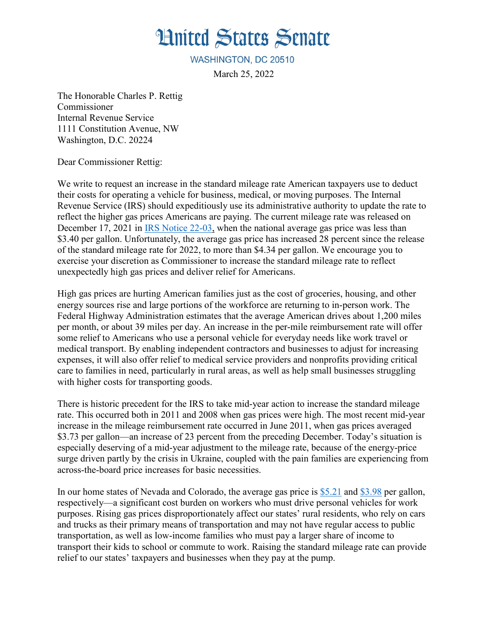## **Hnited States Senate**

WASHINGTON, DC 20510

March 25, 2022

The Honorable Charles P. Rettig Commissioner Internal Revenue Service 1111 Constitution Avenue, NW Washington, D.C. 20224

Dear Commissioner Rettig:

We write to request an increase in the standard mileage rate American taxpayers use to deduct their costs for operating a vehicle for business, medical, or moving purposes. The Internal Revenue Service (IRS) should expeditiously use its administrative authority to update the rate to reflect the higher gas prices Americans are paying. The current mileage rate was released on December 17, 2021 in [IRS Notice](https://www.irs.gov/pub/irs-drop/n-22-03.pdf) 22-03, when the national average gas price was less than \$3.40 per gallon. Unfortunately, the average gas price has increased 28 percent since the release of the standard mileage rate for 2022, to more than \$4.34 per gallon. We encourage you to exercise your discretion as Commissioner to increase the standard mileage rate to reflect unexpectedly high gas prices and deliver relief for Americans.

High gas prices are hurting American families just as the cost of groceries, housing, and other energy sources rise and large portions of the workforce are returning to in-person work. The Federal Highway Administration estimates that the average American drives about 1,200 miles per month, or about 39 miles per day. An increase in the per-mile reimbursement rate will offer some relief to Americans who use a personal vehicle for everyday needs like work travel or medical transport. By enabling independent contractors and businesses to adjust for increasing expenses, it will also offer relief to medical service providers and nonprofits providing critical care to families in need, particularly in rural areas, as well as help small businesses struggling with higher costs for transporting goods.

There is historic precedent for the IRS to take mid-year action to increase the standard mileage rate. This occurred both in 2011 and 2008 when gas prices were high. The most recent mid-year increase in the mileage reimbursement rate occurred in June 2011, when gas prices averaged \$3.73 per gallon—an increase of 23 percent from the preceding December. Today's situation is especially deserving of a mid-year adjustment to the mileage rate, because of the energy-price surge driven partly by the crisis in Ukraine, coupled with the pain families are experiencing from across-the-board price increases for basic necessities.

In our home states of Nevada and Colorado, the average gas price is [\\$5.21](https://gasprices.aaa.com/?state=NV) and [\\$3.98](https://gasprices.aaa.com/?state=CO) per gallon, respectively—a significant cost burden on workers who must drive personal vehicles for work purposes. Rising gas prices disproportionately affect our states' rural residents, who rely on cars and trucks as their primary means of transportation and may not have regular access to public transportation, as well as low-income families who must pay a larger share of income to transport their kids to school or commute to work. Raising the standard mileage rate can provide relief to our states' taxpayers and businesses when they pay at the pump.